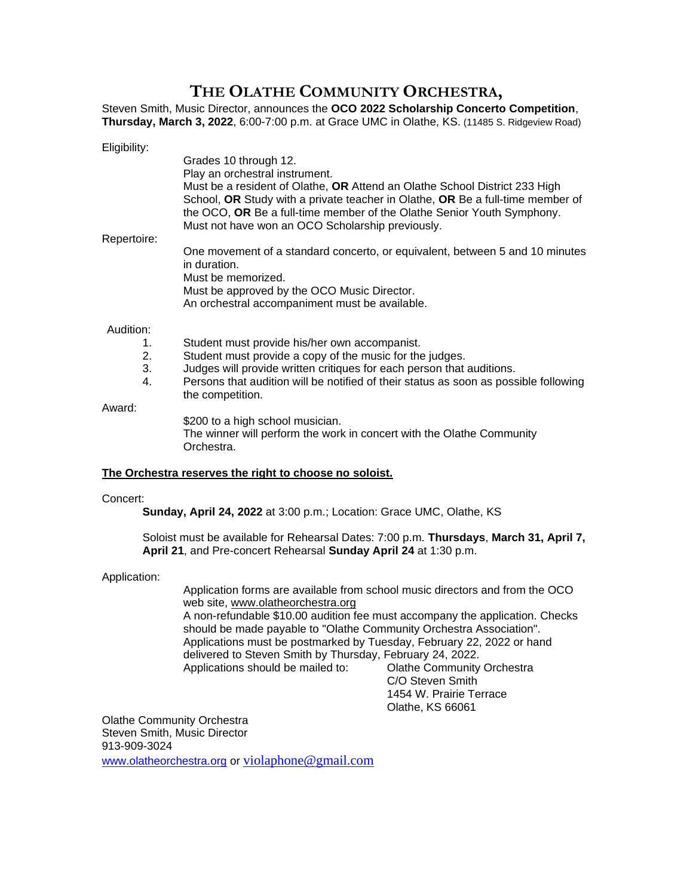## **THE OLATHE COMMUNITY ORCHESTRA,**

Steven Smith, Music Director, announces the **OCO 2022 Scholarship Concerto Competition**, **Thursday, March 3, 2022**, 6:00-7:00 p.m. at Grace UMC in Olathe, KS. (11485 S. Ridgeview Road)

| Eligibility: |                                                                                |
|--------------|--------------------------------------------------------------------------------|
|              | Grades 10 through 12.                                                          |
|              | Play an orchestral instrument.                                                 |
|              | Must be a resident of Olathe, OR Attend an Olathe School District 233 High     |
|              | School, OR Study with a private teacher in Olathe, OR Be a full-time member of |
|              | the OCO, OR Be a full-time member of the Olathe Senior Youth Symphony.         |
| Repertoire:  | Must not have won an OCO Scholarship previously.                               |
|              | One movement of a standard concerto, or equivalent, between 5 and 10 minutes   |
|              | in duration.                                                                   |
|              | Must be memorized.                                                             |
|              | Must be approved by the OCO Music Director.                                    |
|              | An orchestral accompaniment must be available.                                 |
| Audition:    |                                                                                |
|              | Student must provide his/her own accompanist.                                  |

- 
- 2. Student must provide a copy of the music for the judges.
- 3. Judges will provide written critiques for each person that auditions. 4. Persons that audition will be notified of their status as soon as possible following
	- the competition.

Award:

\$200 to a high school musician.

The winner will perform the work in concert with the Olathe Community Orchestra.

### **The Orchestra reserves the right to choose no soloist.**

#### Concert:

**Sunday, April 24, 2022** at 3:00 p.m.; Location: Grace UMC, Olathe, KS

Soloist must be available for Rehearsal Dates: 7:00 p.m. **Thursdays**, **March 31, April 7, April 21**, and Pre-concert Rehearsal **Sunday April 24** at 1:30 p.m.

#### Application:

Application forms are available from school music directors and from the OCO web site, www.olatheorchestra.org A non-refundable \$10.00 audition fee must accompany the application. Checks should be made payable to "Olathe Community Orchestra Association". Applications must be postmarked by Tuesday, February 22, 2022 or hand delivered to Steven Smith by Thursday, February 24, 2022. Applications should be mailed to: Olathe Community Orchestra

C/O Steven Smith 1454 W. Prairie Terrace Olathe, KS 66061

Olathe Community Orchestra Steven Smith, Music Director 913-909-3024 [www.olatheorchestra.org](http://www.olatheorchestra.org/) or [violaphone@gmail.com](mailto:violaphone@gmail.com)